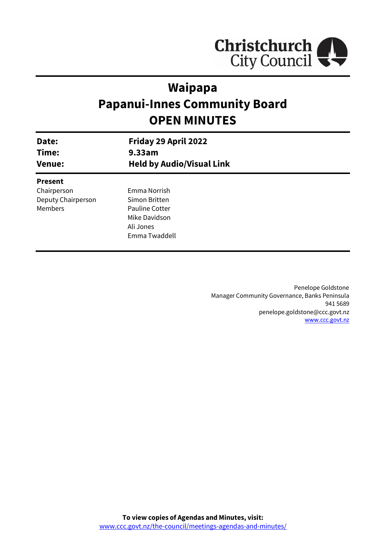

# **Waipapa Papanui-Innes Community Board OPEN MINUTES**

| Date:<br>Time:<br><b>Venue:</b> | Friday 29 April 2022<br>9.33am<br><b>Held by Audio/Visual Link</b> |  |
|---------------------------------|--------------------------------------------------------------------|--|
| <b>Present</b>                  |                                                                    |  |
| Chairperson                     | Emma Norrish                                                       |  |
| Deputy Chairperson              | Simon Britten                                                      |  |
| Members                         | <b>Pauline Cotter</b>                                              |  |
|                                 | Mike Davidson                                                      |  |
|                                 | Ali Jones                                                          |  |
|                                 | Emma Twaddell                                                      |  |
|                                 |                                                                    |  |

Penelope Goldstone Manager Community Governance, Banks Peninsula 941 5689 penelope.goldstone@ccc.govt.nz [www.ccc.govt.nz](http://www.ccc.govt.nz/)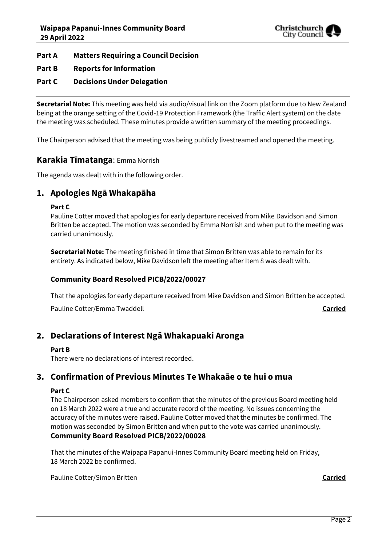

## **Part A Matters Requiring a Council Decision**

## **Part B Reports for Information**

## **Part C Decisions Under Delegation**

**Secretarial Note:** This meeting was held via audio/visual link on the Zoom platform due to New Zealand being at the orange setting of the Covid-19 Protection Framework (the Traffic Alert system) on the date the meeting was scheduled. These minutes provide a written summary of the meeting proceedings.

The Chairperson advised that the meeting was being publicly livestreamed and opened the meeting.

## **Karakia Tīmatanga**: Emma Norrish

The agenda was dealt with in the following order.

## **1. Apologies Ngā Whakapāha**

#### **Part C**

Pauline Cotter moved that apologies for early departure received from Mike Davidson and Simon Britten be accepted. The motion was seconded by Emma Norrish and when put to the meeting was carried unanimously.

**Secretarial Note:** The meeting finished in time that Simon Britten was able to remain for its entirety. As indicated below, Mike Davidson left the meeting after Item 8 was dealt with.

#### **Community Board Resolved PICB/2022/00027**

That the apologies for early departure received from Mike Davidson and Simon Britten be accepted.

Pauline Cotter/Emma Twaddell **Carried**

## **2. Declarations of Interest Ngā Whakapuaki Aronga**

#### **Part B**

There were no declarations of interest recorded.

## **3. Confirmation of Previous Minutes Te Whakaāe o te hui o mua**

#### **Part C**

The Chairperson asked members to confirm that the minutes of the previous Board meeting held on 18 March 2022 were a true and accurate record of the meeting. No issues concerning the accuracy of the minutes were raised. Pauline Cotter moved that the minutes be confirmed. The motion was seconded by Simon Britten and when put to the vote was carried unanimously.

## **Community Board Resolved PICB/2022/00028**

That the minutes of the Waipapa Papanui-Innes Community Board meeting held on Friday, 18 March 2022 be confirmed.

Pauline Cotter/Simon Britten **Carried**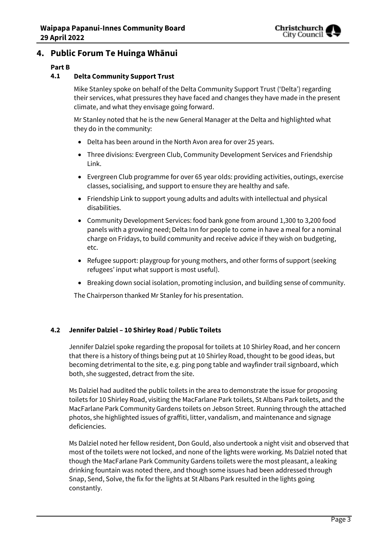

## **4. Public Forum Te Huinga Whānui**

## **Part B**

## **4.1 Delta Community Support Trust**

Mike Stanley spoke on behalf of the Delta Community Support Trust ('Delta') regarding their services, what pressures they have faced and changes they have made in the present climate, and what they envisage going forward.

Mr Stanley noted that he is the new General Manager at the Delta and highlighted what they do in the community:

- Delta has been around in the North Avon area for over 25 years.
- Three divisions: Evergreen Club, Community Development Services and Friendship Link.
- Evergreen Club programme for over 65 year olds: providing activities, outings, exercise classes, socialising, and support to ensure they are healthy and safe.
- Friendship Link to support young adults and adults with intellectual and physical disabilities.
- Community Development Services: food bank gone from around 1,300 to 3,200 food panels with a growing need; Delta Inn for people to come in have a meal for a nominal charge on Fridays, to build community and receive advice if they wish on budgeting, etc.
- Refugee support: playgroup for young mothers, and other forms of support (seeking refugees' input what support is most useful).
- Breaking down social isolation, promoting inclusion, and building sense of community.

The Chairperson thanked Mr Stanley for his presentation.

## **4.2 Jennifer Dalziel – 10 Shirley Road / Public Toilets**

Jennifer Dalziel spoke regarding the proposal for toilets at 10 Shirley Road, and her concern that there is a history of things being put at 10 Shirley Road, thought to be good ideas, but becoming detrimental to the site, e.g. ping pong table and wayfinder trail signboard, which both, she suggested, detract from the site.

Ms Dalziel had audited the public toilets in the area to demonstrate the issue for proposing toilets for 10 Shirley Road, visiting the MacFarlane Park toilets, St Albans Park toilets, and the MacFarlane Park Community Gardens toilets on Jebson Street. Running through the attached photos, she highlighted issues of graffiti, litter, vandalism, and maintenance and signage deficiencies.

Ms Dalziel noted her fellow resident, Don Gould, also undertook a night visit and observed that most of the toilets were not locked, and none of the lights were working. Ms Dalziel noted that though the MacFarlane Park Community Gardens toilets were the most pleasant, a leaking drinking fountain was noted there, and though some issues had been addressed through Snap, Send, Solve, the fix for the lights at St Albans Park resulted in the lights going constantly.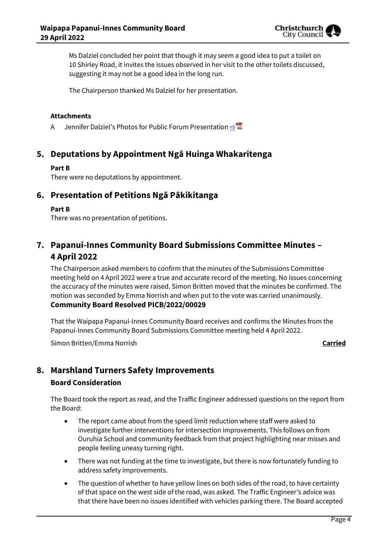

Ms Dalziel concluded her point that though it may seem a good idea to put a toilet on 10 Shirley Road, it invites the issues observed in her visit to the other toilets discussed, suggesting it may not be a good idea in the long run.

The Chairperson thanked Ms Dalziel for her presentation.

#### **Attachments**

A Jennifer Dalziel's Photos for Public Forum Presentation **[⇨](../../../RedirectToInvalidFileName.aspx?FileName=PICB_20220429_MAT_7646.PDF#PAGE=3)</u>** 

## **5. Deputations by Appointment Ngā Huinga Whakaritenga**

#### **Part B**

There were no deputations by appointment.

## **6. Presentation of Petitions Ngā Pākikitanga**

#### **Part B**

There was no presentation of petitions.

## **7. Papanui-Innes Community Board Submissions Committee Minutes – 4 April 2022**

The Chairperson asked members to confirm that the minutes of the Submissions Committee meeting held on 4 April 2022 were a true and accurate record of the meeting. No issues concerning the accuracy of the minutes were raised. Simon Britten moved that the minutes be confirmed. The motion was seconded by Emma Norrish and when put to the vote was carried unanimously. **Community Board Resolved PICB/2022/00029**

That the Waipapa Papanui-Innes Community Board receives and confirms the Minutes from the Papanui-Innes Community Board Submissions Committee meeting held 4 April 2022.

Simon Britten/Emma Norrish **Carried**

## **8. Marshland Turners Safety Improvements**

#### **Board Consideration**

The Board took the report as read, and the Traffic Engineer addressed questions on the report from the Board:

- The report came about from the speed limit reduction where staff were asked to investigate further interventions for intersection improvements. This follows on from Ouruhia School and community feedback from that project highlighting near misses and people feeling uneasy turning right.
- There was not funding at the time to investigate, but there is now fortunately funding to address safety improvements.
- The question of whether to have yellow lines on both sides of the road, to have certainty of that space on the west side of the road, was asked. The Traffic Engineer's advice was that there have been no issues identified with vehicles parking there. The Board accepted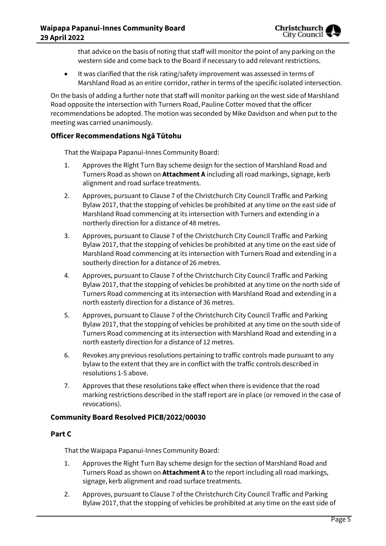that advice on the basis of noting that staff will monitor the point of any parking on the western side and come back to the Board if necessary to add relevant restrictions.

 It was clarified that the risk rating/safety improvement was assessed in terms of Marshland Road as an entire corridor, rather in terms of the specific isolated intersection.

On the basis of adding a further note that staff will monitor parking on the west side of Marshland Road opposite the intersection with Turners Road, Pauline Cotter moved that the officer recommendations be adopted. The motion was seconded by Mike Davidson and when put to the meeting was carried unanimously.

## **Officer Recommendations Ngā Tūtohu**

That the Waipapa Papanui-Innes Community Board:

- 1. Approves the Right Turn Bay scheme design for the section of Marshland Road and Turners Road as shown on **Attachment A** including all road markings, signage, kerb alignment and road surface treatments.
- 2. Approves, pursuant to Clause 7 of the Christchurch City Council Traffic and Parking Bylaw 2017, that the stopping of vehicles be prohibited at any time on the east side of Marshland Road commencing at its intersection with Turners and extending in a northerly direction for a distance of 48 metres.
- 3. Approves, pursuant to Clause 7 of the Christchurch City Council Traffic and Parking Bylaw 2017, that the stopping of vehicles be prohibited at any time on the east side of Marshland Road commencing at its intersection with Turners Road and extending in a southerly direction for a distance of 26 metres.
- 4. Approves, pursuant to Clause 7 of the Christchurch City Council Traffic and Parking Bylaw 2017, that the stopping of vehicles be prohibited at any time on the north side of Turners Road commencing at its intersection with Marshland Road and extending in a north easterly direction for a distance of 36 metres.
- 5. Approves, pursuant to Clause 7 of the Christchurch City Council Traffic and Parking Bylaw 2017, that the stopping of vehicles be prohibited at any time on the south side of Turners Road commencing at its intersection with Marshland Road and extending in a north easterly direction for a distance of 12 metres.
- 6. Revokes any previous resolutions pertaining to traffic controls made pursuant to any bylaw to the extent that they are in conflict with the traffic controls described in resolutions 1-5 above.
- 7. Approves that these resolutions take effect when there is evidence that the road marking restrictions described in the staff report are in place (or removed in the case of revocations).

## **Community Board Resolved PICB/2022/00030**

#### **Part C**

That the Waipapa Papanui-Innes Community Board:

- 1. Approves the Right Turn Bay scheme design for the section of Marshland Road and Turners Road as shown on **Attachment A** to the report including all road markings, signage, kerb alignment and road surface treatments.
- 2. Approves, pursuant to Clause 7 of the Christchurch City Council Traffic and Parking Bylaw 2017, that the stopping of vehicles be prohibited at any time on the east side of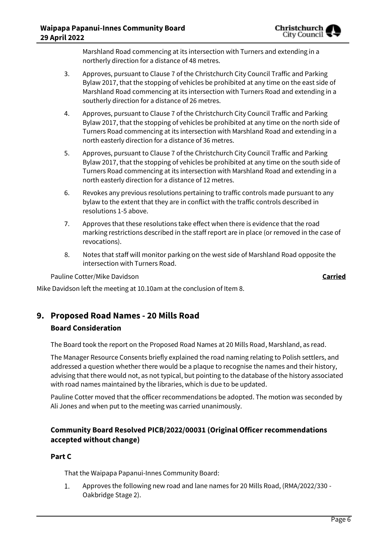

Marshland Road commencing at its intersection with Turners and extending in a northerly direction for a distance of 48 metres.

- 3. Approves, pursuant to Clause 7 of the Christchurch City Council Traffic and Parking Bylaw 2017, that the stopping of vehicles be prohibited at any time on the east side of Marshland Road commencing at its intersection with Turners Road and extending in a southerly direction for a distance of 26 metres.
- 4. Approves, pursuant to Clause 7 of the Christchurch City Council Traffic and Parking Bylaw 2017, that the stopping of vehicles be prohibited at any time on the north side of Turners Road commencing at its intersection with Marshland Road and extending in a north easterly direction for a distance of 36 metres.
- 5. Approves, pursuant to Clause 7 of the Christchurch City Council Traffic and Parking Bylaw 2017, that the stopping of vehicles be prohibited at any time on the south side of Turners Road commencing at its intersection with Marshland Road and extending in a north easterly direction for a distance of 12 metres.
- 6. Revokes any previous resolutions pertaining to traffic controls made pursuant to any bylaw to the extent that they are in conflict with the traffic controls described in resolutions 1-5 above.
- 7. Approves that these resolutions take effect when there is evidence that the road marking restrictions described in the staff report are in place (or removed in the case of revocations).
- 8. Notes that staff will monitor parking on the west side of Marshland Road opposite the intersection with Turners Road.

Pauline Cotter/Mike Davidson **Carried**

Mike Davidson left the meeting at 10.10am at the conclusion of Item 8.

## **9. Proposed Road Names - 20 Mills Road Board Consideration**

The Board took the report on the Proposed Road Names at 20 Mills Road, Marshland, as read.

The Manager Resource Consents briefly explained the road naming relating to Polish settlers, and addressed a question whether there would be a plaque to recognise the names and their history, advising that there would not, as not typical, but pointing to the database of the history associated with road names maintained by the libraries, which is due to be updated.

Pauline Cotter moved that the officer recommendations be adopted. The motion was seconded by Ali Jones and when put to the meeting was carried unanimously.

## **Community Board Resolved PICB/2022/00031 (Original Officer recommendations accepted without change)**

## **Part C**

That the Waipapa Papanui-Innes Community Board:

1. Approves the following new road and lane names for 20 Mills Road, (RMA/2022/330 - Oakbridge Stage 2).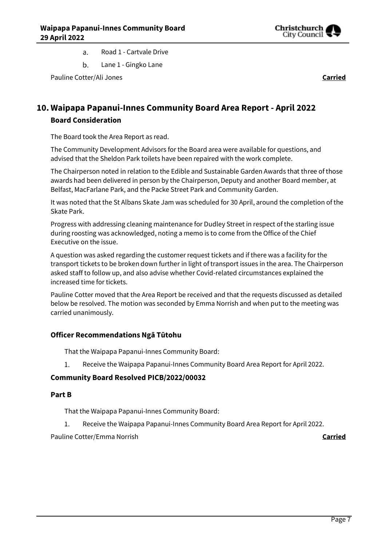

- Road 1 Cartvale Drive a.
- b. Lane 1 - Gingko Lane

Pauline Cotter/Ali Jones **Carried**

## **10. Waipapa Papanui-Innes Community Board Area Report - April 2022 Board Consideration**

The Board took the Area Report as read.

The Community Development Advisors for the Board area were available for questions, and advised that the Sheldon Park toilets have been repaired with the work complete.

The Chairperson noted in relation to the Edible and Sustainable Garden Awards that three of those awards had been delivered in person by the Chairperson, Deputy and another Board member, at Belfast, MacFarlane Park, and the Packe Street Park and Community Garden.

It was noted that the St Albans Skate Jam was scheduled for 30 April, around the completion of the Skate Park.

Progress with addressing cleaning maintenance for Dudley Street in respect of the starling issue during roosting was acknowledged, noting a memo is to come from the Office of the Chief Executive on the issue.

A question was asked regarding the customer request tickets and if there was a facility for the transport tickets to be broken down further in light of transport issues in the area. The Chairperson asked staff to follow up, and also advise whether Covid-related circumstances explained the increased time for tickets.

Pauline Cotter moved that the Area Report be received and that the requests discussed as detailed below be resolved. The motion was seconded by Emma Norrish and when put to the meeting was carried unanimously.

## **Officer Recommendations Ngā Tūtohu**

That the Waipapa Papanui-Innes Community Board:

1. Receive the Waipapa Papanui-Innes Community Board Area Report for April 2022.

## **Community Board Resolved PICB/2022/00032**

## **Part B**

That the Waipapa Papanui-Innes Community Board:

1. Receive the Waipapa Papanui-Innes Community Board Area Report for April 2022.

Pauline Cotter/Emma Norrish **Carried**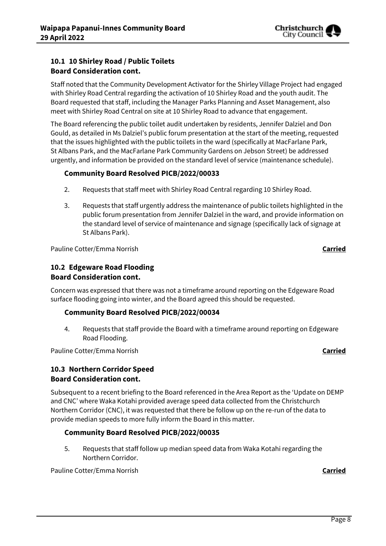

## **10.1 10 Shirley Road / Public Toilets Board Consideration cont.**

Staff noted that the Community Development Activator for the Shirley Village Project had engaged with Shirley Road Central regarding the activation of 10 Shirley Road and the youth audit. The Board requested that staff, including the Manager Parks Planning and Asset Management, also meet with Shirley Road Central on site at 10 Shirley Road to advance that engagement.

The Board referencing the public toilet audit undertaken by residents, Jennifer Dalziel and Don Gould, as detailed in Ms Dalziel's public forum presentation at the start of the meeting, requested that the issues highlighted with the public toilets in the ward (specifically at MacFarlane Park, St Albans Park, and the MacFarlane Park Community Gardens on Jebson Street) be addressed urgently, and information be provided on the standard level of service (maintenance schedule).

## **Community Board Resolved PICB/2022/00033**

- 2. Requests that staff meet with Shirley Road Central regarding 10 Shirley Road.
- 3. Requests that staff urgently address the maintenance of public toilets highlighted in the public forum presentation from Jennifer Dalziel in the ward, and provide information on the standard level of service of maintenance and signage (specifically lack of signage at St Albans Park).

Pauline Cotter/Emma Norrish **Carried**

## **10.2 Edgeware Road Flooding Board Consideration cont.**

Concern was expressed that there was not a timeframe around reporting on the Edgeware Road surface flooding going into winter, and the Board agreed this should be requested.

## **Community Board Resolved PICB/2022/00034**

4. Requests that staff provide the Board with a timeframe around reporting on Edgeware Road Flooding.

Pauline Cotter/Emma Norrish **Carried**

## **10.3 Northern Corridor Speed Board Consideration cont.**

Subsequent to a recent briefing to the Board referenced in the Area Report as the 'Update on DEMP and CNC' where Waka Kotahi provided average speed data collected from the Christchurch Northern Corridor (CNC), it was requested that there be follow up on the re-run of the data to provide median speeds to more fully inform the Board in this matter.

## **Community Board Resolved PICB/2022/00035**

5. Requests that staff follow up median speed data from Waka Kotahi regarding the Northern Corridor.

Pauline Cotter/Emma Norrish **Carried**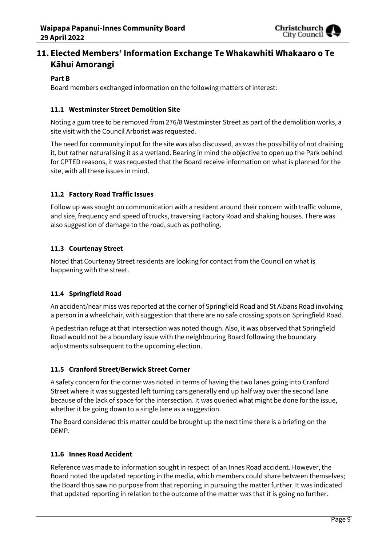

## **11. Elected Members' Information Exchange Te Whakawhiti Whakaaro o Te Kāhui Amorangi**

#### **Part B**

Board members exchanged information on the following matters of interest:

## **11.1 Westminster Street Demolition Site**

Noting a gum tree to be removed from 276/8 Westminster Street as part of the demolition works, a site visit with the Council Arborist was requested.

The need for community input for the site was also discussed, as was the possibility of not draining it, but rather naturalising it as a wetland. Bearing in mind the objective to open up the Park behind for CPTED reasons, it was requested that the Board receive information on what is planned for the site, with all these issues in mind.

## **11.2 Factory Road Traffic Issues**

Follow up was sought on communication with a resident around their concern with traffic volume, and size, frequency and speed of trucks, traversing Factory Road and shaking houses. There was also suggestion of damage to the road, such as potholing.

## **11.3 Courtenay Street**

Noted that Courtenay Street residents are looking for contact from the Council on what is happening with the street.

## **11.4 Springfield Road**

An accident/near miss was reported at the corner of Springfield Road and St Albans Road involving a person in a wheelchair, with suggestion that there are no safe crossing spots on Springfield Road.

A pedestrian refuge at that intersection was noted though. Also, it was observed that Springfield Road would not be a boundary issue with the neighbouring Board following the boundary adjustments subsequent to the upcoming election.

## **11.5 Cranford Street/Berwick Street Corner**

A safety concern for the corner was noted in terms of having the two lanes going into Cranford Street where it was suggested left turning cars generally end up half way over the second lane because of the lack of space for the intersection. It was queried what might be done for the issue, whether it be going down to a single lane as a suggestion.

The Board considered this matter could be brought up the next time there is a briefing on the DEMP.

#### **11.6 Innes Road Accident**

Reference was made to information sought in respect of an Innes Road accident. However, the Board noted the updated reporting in the media, which members could share between themselves; the Board thus saw no purpose from that reporting in pursuing the matter further. It was indicated that updated reporting in relation to the outcome of the matter was that it is going no further.